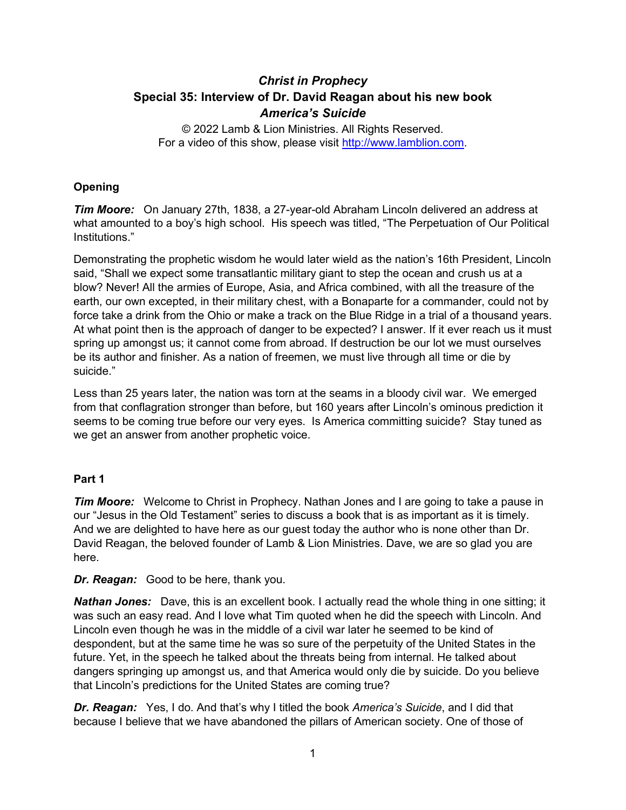# *Christ in Prophecy* **Special 35: Interview of Dr. David Reagan about his new book**  *America's Suicide*

© 2022 Lamb & Lion Ministries. All Rights Reserved. For a video of this show, please visit [http://www.lamblion.com.](http://www.lamblion.com/)

## **Opening**

*Tim Moore:* On January 27th, 1838, a 27-year-old Abraham Lincoln delivered an address at what amounted to a boy's high school. His speech was titled, "The Perpetuation of Our Political Institutions."

Demonstrating the prophetic wisdom he would later wield as the nation's 16th President, Lincoln said, "Shall we expect some transatlantic military giant to step the ocean and crush us at a blow? Never! All the armies of Europe, Asia, and Africa combined, with all the treasure of the earth, our own excepted, in their military chest, with a Bonaparte for a commander, could not by force take a drink from the Ohio or make a track on the Blue Ridge in a trial of a thousand years. At what point then is the approach of danger to be expected? I answer. If it ever reach us it must spring up amongst us; it cannot come from abroad. If destruction be our lot we must ourselves be its author and finisher. As a nation of freemen, we must live through all time or die by suicide."

Less than 25 years later, the nation was torn at the seams in a bloody civil war. We emerged from that conflagration stronger than before, but 160 years after Lincoln's ominous prediction it seems to be coming true before our very eyes. Is America committing suicide? Stay tuned as we get an answer from another prophetic voice.

#### **Part 1**

*Tim Moore:* Welcome to Christ in Prophecy. Nathan Jones and I are going to take a pause in our "Jesus in the Old Testament" series to discuss a book that is as important as it is timely. And we are delighted to have here as our guest today the author who is none other than Dr. David Reagan, the beloved founder of Lamb & Lion Ministries. Dave, we are so glad you are here.

*Dr. Reagan:* Good to be here, thank you.

*Nathan Jones:* Dave, this is an excellent book. I actually read the whole thing in one sitting; it was such an easy read. And I love what Tim quoted when he did the speech with Lincoln. And Lincoln even though he was in the middle of a civil war later he seemed to be kind of despondent, but at the same time he was so sure of the perpetuity of the United States in the future. Yet, in the speech he talked about the threats being from internal. He talked about dangers springing up amongst us, and that America would only die by suicide. Do you believe that Lincoln's predictions for the United States are coming true?

*Dr. Reagan:* Yes, I do. And that's why I titled the book *America's Suicide*, and I did that because I believe that we have abandoned the pillars of American society. One of those of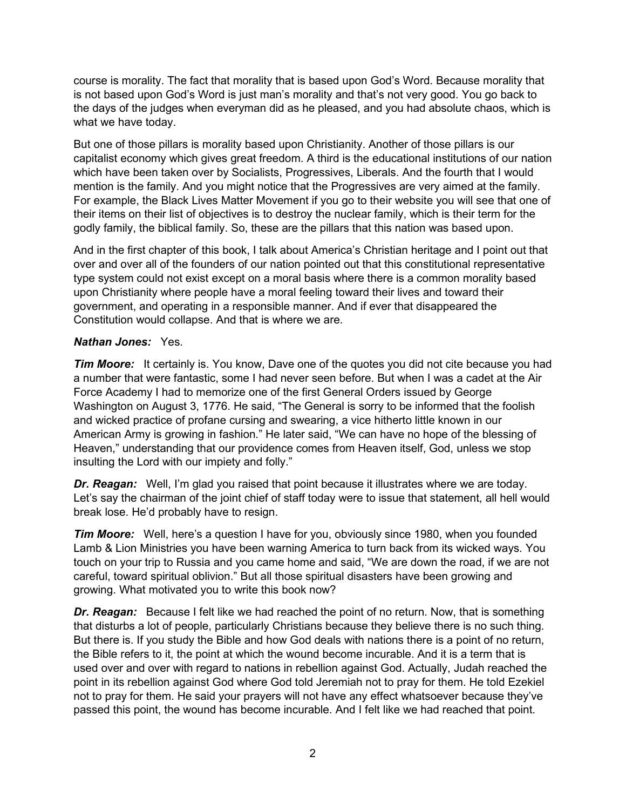course is morality. The fact that morality that is based upon God's Word. Because morality that is not based upon God's Word is just man's morality and that's not very good. You go back to the days of the judges when everyman did as he pleased, and you had absolute chaos, which is what we have today.

But one of those pillars is morality based upon Christianity. Another of those pillars is our capitalist economy which gives great freedom. A third is the educational institutions of our nation which have been taken over by Socialists, Progressives, Liberals. And the fourth that I would mention is the family. And you might notice that the Progressives are very aimed at the family. For example, the Black Lives Matter Movement if you go to their website you will see that one of their items on their list of objectives is to destroy the nuclear family, which is their term for the godly family, the biblical family. So, these are the pillars that this nation was based upon.

And in the first chapter of this book, I talk about America's Christian heritage and I point out that over and over all of the founders of our nation pointed out that this constitutional representative type system could not exist except on a moral basis where there is a common morality based upon Christianity where people have a moral feeling toward their lives and toward their government, and operating in a responsible manner. And if ever that disappeared the Constitution would collapse. And that is where we are.

## *Nathan Jones:* Yes.

*Tim Moore:* It certainly is. You know, Dave one of the quotes you did not cite because you had a number that were fantastic, some I had never seen before. But when I was a cadet at the Air Force Academy I had to memorize one of the first General Orders issued by George Washington on August 3, 1776. He said, "The General is sorry to be informed that the foolish and wicked practice of profane cursing and swearing, a vice hitherto little known in our American Army is growing in fashion." He later said, "We can have no hope of the blessing of Heaven," understanding that our providence comes from Heaven itself, God, unless we stop insulting the Lord with our impiety and folly."

*Dr. Reagan:* Well, I'm glad you raised that point because it illustrates where we are today. Let's say the chairman of the joint chief of staff today were to issue that statement, all hell would break lose. He'd probably have to resign.

*Tim Moore:* Well, here's a question I have for you, obviously since 1980, when you founded Lamb & Lion Ministries you have been warning America to turn back from its wicked ways. You touch on your trip to Russia and you came home and said, "We are down the road, if we are not careful, toward spiritual oblivion." But all those spiritual disasters have been growing and growing. What motivated you to write this book now?

*Dr. Reagan:* Because I felt like we had reached the point of no return. Now, that is something that disturbs a lot of people, particularly Christians because they believe there is no such thing. But there is. If you study the Bible and how God deals with nations there is a point of no return, the Bible refers to it, the point at which the wound become incurable. And it is a term that is used over and over with regard to nations in rebellion against God. Actually, Judah reached the point in its rebellion against God where God told Jeremiah not to pray for them. He told Ezekiel not to pray for them. He said your prayers will not have any effect whatsoever because they've passed this point, the wound has become incurable. And I felt like we had reached that point.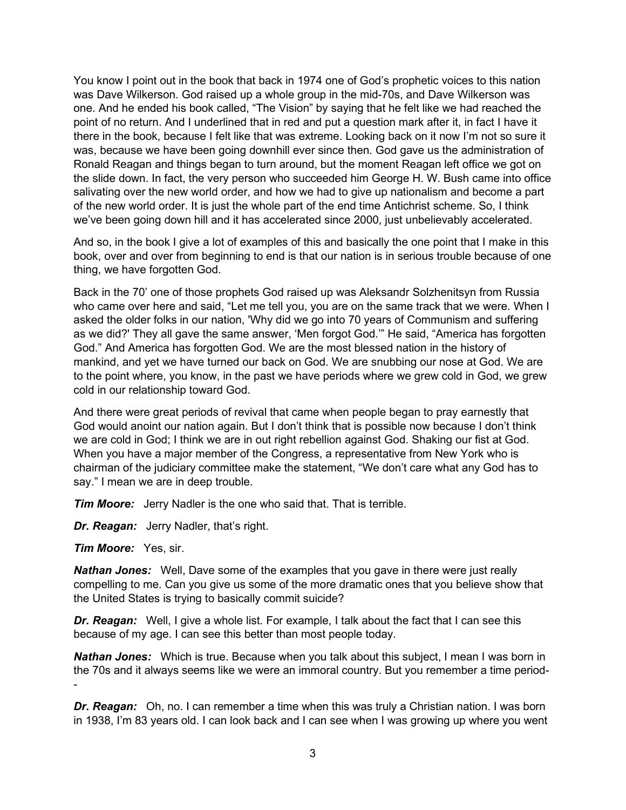You know I point out in the book that back in 1974 one of God's prophetic voices to this nation was Dave Wilkerson. God raised up a whole group in the mid-70s, and Dave Wilkerson was one. And he ended his book called, "The Vision" by saying that he felt like we had reached the point of no return. And I underlined that in red and put a question mark after it, in fact I have it there in the book, because I felt like that was extreme. Looking back on it now I'm not so sure it was, because we have been going downhill ever since then. God gave us the administration of Ronald Reagan and things began to turn around, but the moment Reagan left office we got on the slide down. In fact, the very person who succeeded him George H. W. Bush came into office salivating over the new world order, and how we had to give up nationalism and become a part of the new world order. It is just the whole part of the end time Antichrist scheme. So, I think we've been going down hill and it has accelerated since 2000, just unbelievably accelerated.

And so, in the book I give a lot of examples of this and basically the one point that I make in this book, over and over from beginning to end is that our nation is in serious trouble because of one thing, we have forgotten God.

Back in the 70' one of those prophets God raised up was Aleksandr Solzhenitsyn from Russia who came over here and said, "Let me tell you, you are on the same track that we were. When I asked the older folks in our nation, 'Why did we go into 70 years of Communism and suffering as we did?' They all gave the same answer, 'Men forgot God.'" He said, "America has forgotten God." And America has forgotten God. We are the most blessed nation in the history of mankind, and yet we have turned our back on God. We are snubbing our nose at God. We are to the point where, you know, in the past we have periods where we grew cold in God, we grew cold in our relationship toward God.

And there were great periods of revival that came when people began to pray earnestly that God would anoint our nation again. But I don't think that is possible now because I don't think we are cold in God; I think we are in out right rebellion against God. Shaking our fist at God. When you have a major member of the Congress, a representative from New York who is chairman of the judiciary committee make the statement, "We don't care what any God has to say." I mean we are in deep trouble.

*Tim Moore:* Jerry Nadler is the one who said that. That is terrible.

*Dr. Reagan:* Jerry Nadler, that's right.

*Tim Moore:* Yes, sir.

*Nathan Jones:* Well, Dave some of the examples that you gave in there were just really compelling to me. Can you give us some of the more dramatic ones that you believe show that the United States is trying to basically commit suicide?

*Dr. Reagan:* Well, I give a whole list. For example, I talk about the fact that I can see this because of my age. I can see this better than most people today.

*Nathan Jones:* Which is true. Because when you talk about this subject, I mean I was born in the 70s and it always seems like we were an immoral country. But you remember a time period- -

*Dr. Reagan:* Oh, no. I can remember a time when this was truly a Christian nation. I was born in 1938, I'm 83 years old. I can look back and I can see when I was growing up where you went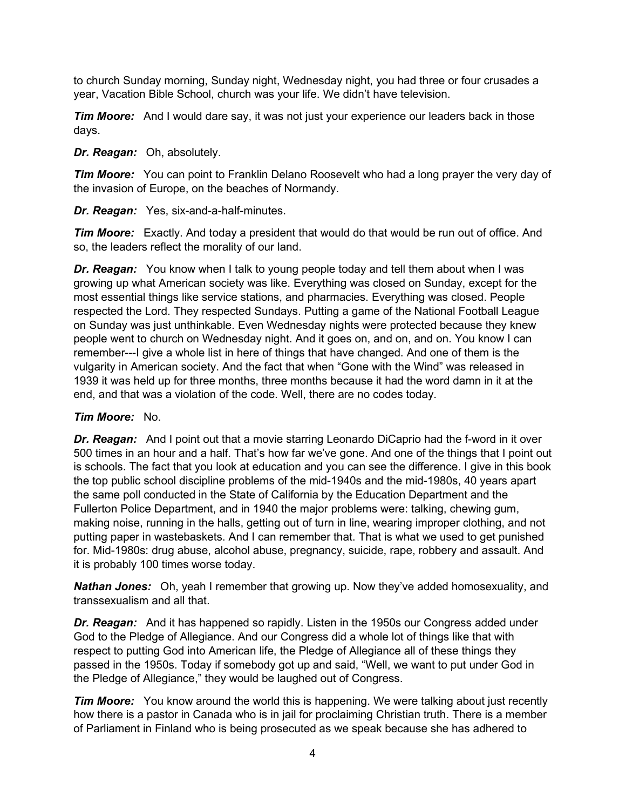to church Sunday morning, Sunday night, Wednesday night, you had three or four crusades a year, Vacation Bible School, church was your life. We didn't have television.

*Tim Moore:* And I would dare say, it was not just your experience our leaders back in those days.

#### *Dr. Reagan:* Oh, absolutely.

*Tim Moore:* You can point to Franklin Delano Roosevelt who had a long prayer the very day of the invasion of Europe, on the beaches of Normandy.

*Dr. Reagan:* Yes, six-and-a-half-minutes.

*Tim Moore:* Exactly. And today a president that would do that would be run out of office. And so, the leaders reflect the morality of our land.

*Dr. Reagan:* You know when I talk to young people today and tell them about when I was growing up what American society was like. Everything was closed on Sunday, except for the most essential things like service stations, and pharmacies. Everything was closed. People respected the Lord. They respected Sundays. Putting a game of the National Football League on Sunday was just unthinkable. Even Wednesday nights were protected because they knew people went to church on Wednesday night. And it goes on, and on, and on. You know I can remember---I give a whole list in here of things that have changed. And one of them is the vulgarity in American society. And the fact that when "Gone with the Wind" was released in 1939 it was held up for three months, three months because it had the word damn in it at the end, and that was a violation of the code. Well, there are no codes today.

#### *Tim Moore:* No.

**Dr. Reagan:** And I point out that a movie starring Leonardo DiCaprio had the f-word in it over 500 times in an hour and a half. That's how far we've gone. And one of the things that I point out is schools. The fact that you look at education and you can see the difference. I give in this book the top public school discipline problems of the mid-1940s and the mid-1980s, 40 years apart the same poll conducted in the State of California by the Education Department and the Fullerton Police Department, and in 1940 the major problems were: talking, chewing gum, making noise, running in the halls, getting out of turn in line, wearing improper clothing, and not putting paper in wastebaskets. And I can remember that. That is what we used to get punished for. Mid-1980s: drug abuse, alcohol abuse, pregnancy, suicide, rape, robbery and assault. And it is probably 100 times worse today.

*Nathan Jones:* Oh, yeah I remember that growing up. Now they've added homosexuality, and transsexualism and all that.

*Dr. Reagan:* And it has happened so rapidly. Listen in the 1950s our Congress added under God to the Pledge of Allegiance. And our Congress did a whole lot of things like that with respect to putting God into American life, the Pledge of Allegiance all of these things they passed in the 1950s. Today if somebody got up and said, "Well, we want to put under God in the Pledge of Allegiance," they would be laughed out of Congress.

*Tim Moore:* You know around the world this is happening. We were talking about just recently how there is a pastor in Canada who is in jail for proclaiming Christian truth. There is a member of Parliament in Finland who is being prosecuted as we speak because she has adhered to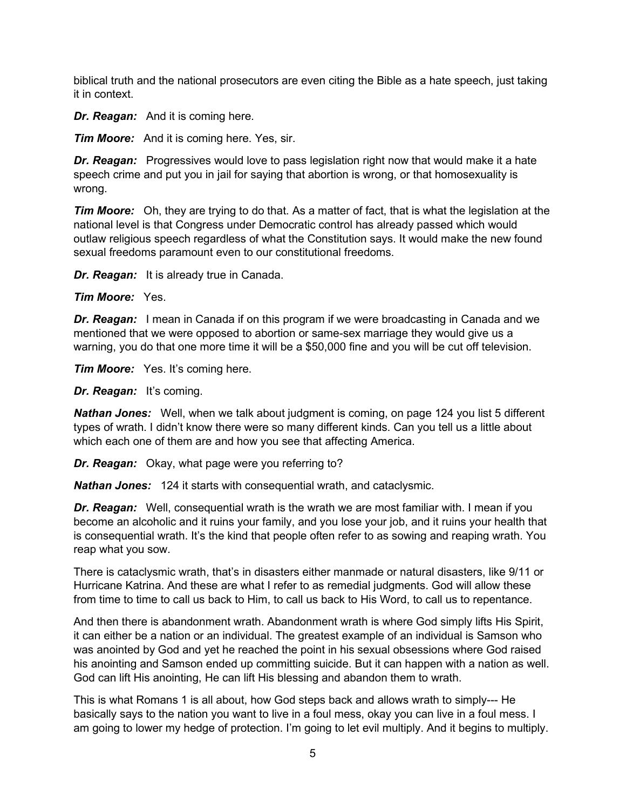biblical truth and the national prosecutors are even citing the Bible as a hate speech, just taking it in context.

*Dr. Reagan:* And it is coming here.

*Tim Moore:* And it is coming here. Yes, sir.

**Dr. Reagan:** Progressives would love to pass legislation right now that would make it a hate speech crime and put you in jail for saying that abortion is wrong, or that homosexuality is wrong.

*Tim Moore:* Oh, they are trying to do that. As a matter of fact, that is what the legislation at the national level is that Congress under Democratic control has already passed which would outlaw religious speech regardless of what the Constitution says. It would make the new found sexual freedoms paramount even to our constitutional freedoms.

*Dr. Reagan:* It is already true in Canada.

*Tim Moore:* Yes.

*Dr. Reagan:* I mean in Canada if on this program if we were broadcasting in Canada and we mentioned that we were opposed to abortion or same-sex marriage they would give us a warning, you do that one more time it will be a \$50,000 fine and you will be cut off television.

*Tim Moore:* Yes. It's coming here.

*Dr. Reagan:* It's coming.

*Nathan Jones:* Well, when we talk about judgment is coming, on page 124 you list 5 different types of wrath. I didn't know there were so many different kinds. Can you tell us a little about which each one of them are and how you see that affecting America.

*Dr. Reagan:* Okay, what page were you referring to?

*Nathan Jones:* 124 it starts with consequential wrath, and cataclysmic.

*Dr. Reagan:* Well, consequential wrath is the wrath we are most familiar with. I mean if you become an alcoholic and it ruins your family, and you lose your job, and it ruins your health that is consequential wrath. It's the kind that people often refer to as sowing and reaping wrath. You reap what you sow.

There is cataclysmic wrath, that's in disasters either manmade or natural disasters, like 9/11 or Hurricane Katrina. And these are what I refer to as remedial judgments. God will allow these from time to time to call us back to Him, to call us back to His Word, to call us to repentance.

And then there is abandonment wrath. Abandonment wrath is where God simply lifts His Spirit, it can either be a nation or an individual. The greatest example of an individual is Samson who was anointed by God and yet he reached the point in his sexual obsessions where God raised his anointing and Samson ended up committing suicide. But it can happen with a nation as well. God can lift His anointing, He can lift His blessing and abandon them to wrath.

This is what Romans 1 is all about, how God steps back and allows wrath to simply--- He basically says to the nation you want to live in a foul mess, okay you can live in a foul mess. I am going to lower my hedge of protection. I'm going to let evil multiply. And it begins to multiply.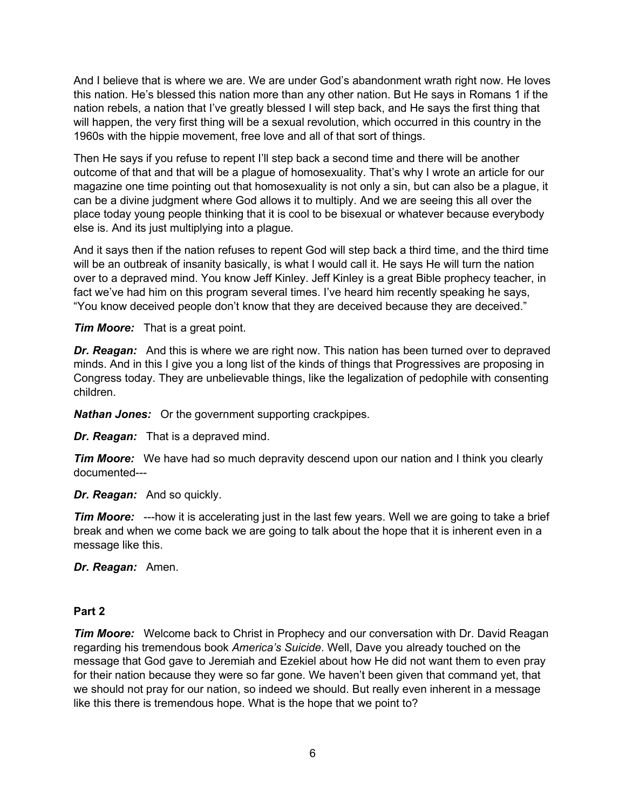And I believe that is where we are. We are under God's abandonment wrath right now. He loves this nation. He's blessed this nation more than any other nation. But He says in Romans 1 if the nation rebels, a nation that I've greatly blessed I will step back, and He says the first thing that will happen, the very first thing will be a sexual revolution, which occurred in this country in the 1960s with the hippie movement, free love and all of that sort of things.

Then He says if you refuse to repent I'll step back a second time and there will be another outcome of that and that will be a plague of homosexuality. That's why I wrote an article for our magazine one time pointing out that homosexuality is not only a sin, but can also be a plague, it can be a divine judgment where God allows it to multiply. And we are seeing this all over the place today young people thinking that it is cool to be bisexual or whatever because everybody else is. And its just multiplying into a plague.

And it says then if the nation refuses to repent God will step back a third time, and the third time will be an outbreak of insanity basically, is what I would call it. He says He will turn the nation over to a depraved mind. You know Jeff Kinley. Jeff Kinley is a great Bible prophecy teacher, in fact we've had him on this program several times. I've heard him recently speaking he says, "You know deceived people don't know that they are deceived because they are deceived."

*Tim Moore:* That is a great point.

*Dr. Reagan:* And this is where we are right now. This nation has been turned over to depraved minds. And in this I give you a long list of the kinds of things that Progressives are proposing in Congress today. They are unbelievable things, like the legalization of pedophile with consenting children.

*Nathan Jones:* Or the government supporting crackpipes.

*Dr. Reagan:* That is a depraved mind.

*Tim Moore:* We have had so much depravity descend upon our nation and I think you clearly documented---

*Dr. Reagan:* And so quickly.

*Tim Moore:* ---how it is accelerating just in the last few years. Well we are going to take a brief break and when we come back we are going to talk about the hope that it is inherent even in a message like this.

*Dr. Reagan:* Amen.

#### **Part 2**

*Tim Moore:* Welcome back to Christ in Prophecy and our conversation with Dr. David Reagan regarding his tremendous book *America's Suicide*. Well, Dave you already touched on the message that God gave to Jeremiah and Ezekiel about how He did not want them to even pray for their nation because they were so far gone. We haven't been given that command yet, that we should not pray for our nation, so indeed we should. But really even inherent in a message like this there is tremendous hope. What is the hope that we point to?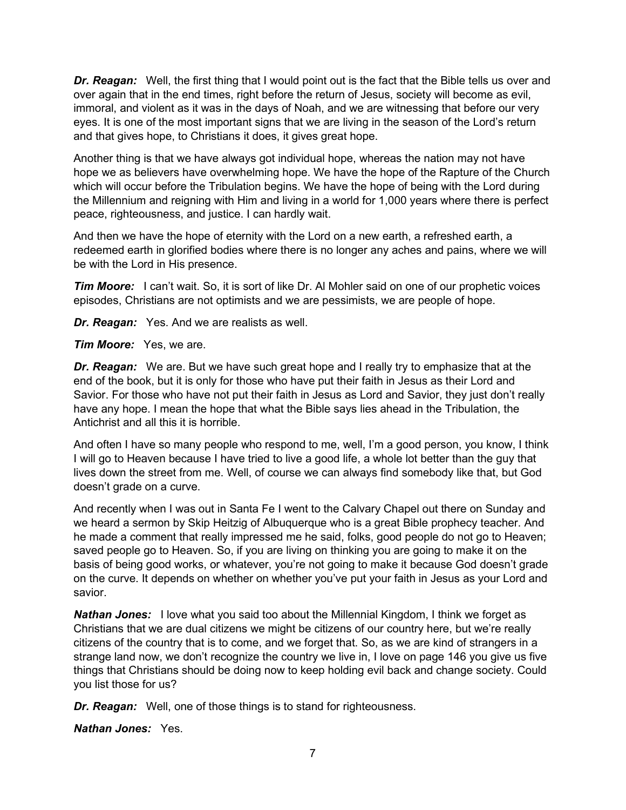*Dr. Reagan:* Well, the first thing that I would point out is the fact that the Bible tells us over and over again that in the end times, right before the return of Jesus, society will become as evil, immoral, and violent as it was in the days of Noah, and we are witnessing that before our very eyes. It is one of the most important signs that we are living in the season of the Lord's return and that gives hope, to Christians it does, it gives great hope.

Another thing is that we have always got individual hope, whereas the nation may not have hope we as believers have overwhelming hope. We have the hope of the Rapture of the Church which will occur before the Tribulation begins. We have the hope of being with the Lord during the Millennium and reigning with Him and living in a world for 1,000 years where there is perfect peace, righteousness, and justice. I can hardly wait.

And then we have the hope of eternity with the Lord on a new earth, a refreshed earth, a redeemed earth in glorified bodies where there is no longer any aches and pains, where we will be with the Lord in His presence.

*Tim Moore:* I can't wait. So, it is sort of like Dr. Al Mohler said on one of our prophetic voices episodes, Christians are not optimists and we are pessimists, we are people of hope.

*Dr. Reagan:* Yes. And we are realists as well.

*Tim Moore:* Yes, we are.

*Dr. Reagan:* We are. But we have such great hope and I really try to emphasize that at the end of the book, but it is only for those who have put their faith in Jesus as their Lord and Savior. For those who have not put their faith in Jesus as Lord and Savior, they just don't really have any hope. I mean the hope that what the Bible says lies ahead in the Tribulation, the Antichrist and all this it is horrible.

And often I have so many people who respond to me, well, I'm a good person, you know, I think I will go to Heaven because I have tried to live a good life, a whole lot better than the guy that lives down the street from me. Well, of course we can always find somebody like that, but God doesn't grade on a curve.

And recently when I was out in Santa Fe I went to the Calvary Chapel out there on Sunday and we heard a sermon by Skip Heitzig of Albuquerque who is a great Bible prophecy teacher. And he made a comment that really impressed me he said, folks, good people do not go to Heaven; saved people go to Heaven. So, if you are living on thinking you are going to make it on the basis of being good works, or whatever, you're not going to make it because God doesn't grade on the curve. It depends on whether on whether you've put your faith in Jesus as your Lord and savior.

*Nathan Jones:* I love what you said too about the Millennial Kingdom, I think we forget as Christians that we are dual citizens we might be citizens of our country here, but we're really citizens of the country that is to come, and we forget that. So, as we are kind of strangers in a strange land now, we don't recognize the country we live in, I love on page 146 you give us five things that Christians should be doing now to keep holding evil back and change society. Could you list those for us?

*Dr. Reagan:* Well, one of those things is to stand for righteousness.

*Nathan Jones:* Yes.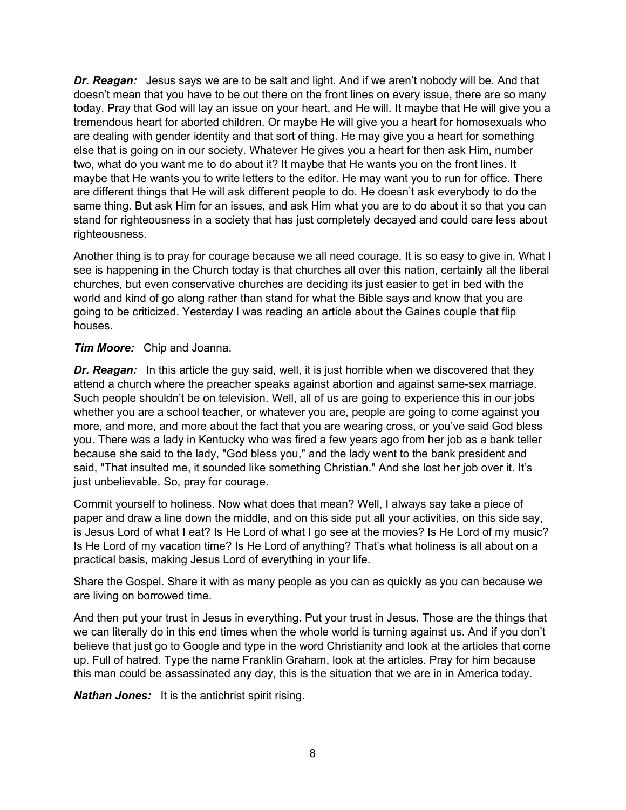*Dr. Reagan:* Jesus says we are to be salt and light. And if we aren't nobody will be. And that doesn't mean that you have to be out there on the front lines on every issue, there are so many today. Pray that God will lay an issue on your heart, and He will. It maybe that He will give you a tremendous heart for aborted children. Or maybe He will give you a heart for homosexuals who are dealing with gender identity and that sort of thing. He may give you a heart for something else that is going on in our society. Whatever He gives you a heart for then ask Him, number two, what do you want me to do about it? It maybe that He wants you on the front lines. It maybe that He wants you to write letters to the editor. He may want you to run for office. There are different things that He will ask different people to do. He doesn't ask everybody to do the same thing. But ask Him for an issues, and ask Him what you are to do about it so that you can stand for righteousness in a society that has just completely decayed and could care less about righteousness.

Another thing is to pray for courage because we all need courage. It is so easy to give in. What I see is happening in the Church today is that churches all over this nation, certainly all the liberal churches, but even conservative churches are deciding its just easier to get in bed with the world and kind of go along rather than stand for what the Bible says and know that you are going to be criticized. Yesterday I was reading an article about the Gaines couple that flip houses.

*Tim Moore:* Chip and Joanna.

**Dr. Reagan:** In this article the guy said, well, it is just horrible when we discovered that they attend a church where the preacher speaks against abortion and against same-sex marriage. Such people shouldn't be on television. Well, all of us are going to experience this in our jobs whether you are a school teacher, or whatever you are, people are going to come against you more, and more, and more about the fact that you are wearing cross, or you've said God bless you. There was a lady in Kentucky who was fired a few years ago from her job as a bank teller because she said to the lady, "God bless you," and the lady went to the bank president and said, "That insulted me, it sounded like something Christian." And she lost her job over it. It's just unbelievable. So, pray for courage.

Commit yourself to holiness. Now what does that mean? Well, I always say take a piece of paper and draw a line down the middle, and on this side put all your activities, on this side say, is Jesus Lord of what I eat? Is He Lord of what I go see at the movies? Is He Lord of my music? Is He Lord of my vacation time? Is He Lord of anything? That's what holiness is all about on a practical basis, making Jesus Lord of everything in your life.

Share the Gospel. Share it with as many people as you can as quickly as you can because we are living on borrowed time.

And then put your trust in Jesus in everything. Put your trust in Jesus. Those are the things that we can literally do in this end times when the whole world is turning against us. And if you don't believe that just go to Google and type in the word Christianity and look at the articles that come up. Full of hatred. Type the name Franklin Graham, look at the articles. Pray for him because this man could be assassinated any day, this is the situation that we are in in America today.

*Nathan Jones:* It is the antichrist spirit rising.